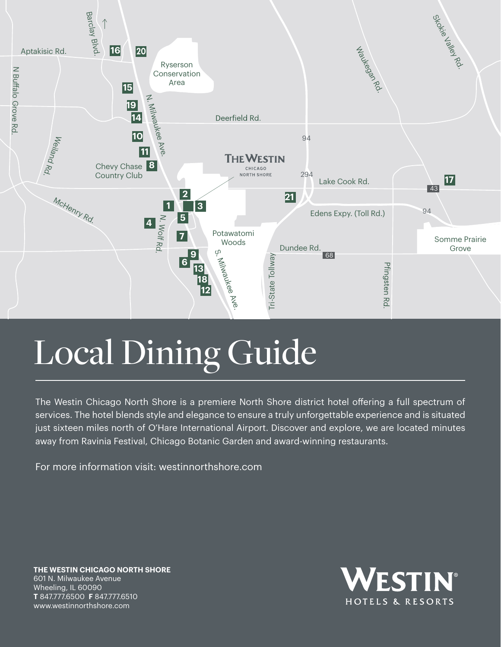

# Local Dining Guide

The Westin Chicago North Shore is a premiere North Shore district hotel offering a full spectrum of services. The hotel blends style and elegance to ensure a truly unforgettable experience and is situated just sixteen miles north of O'Hare International Airport. Discover and explore, we are located minutes away from Ravinia Festival, Chicago Botanic Garden and award-winning restaurants.

For more information visit: [westinnorthshore.com](https://westinnorthshore.com) 

**THE WESTIN CHICAGO NORTH SHORE**  601 N. Milwaukee Avenue Wheeling, IL 60090 **T** 847.777.6500 **F** 847.777.6510 <www.westinnorthshore.com>